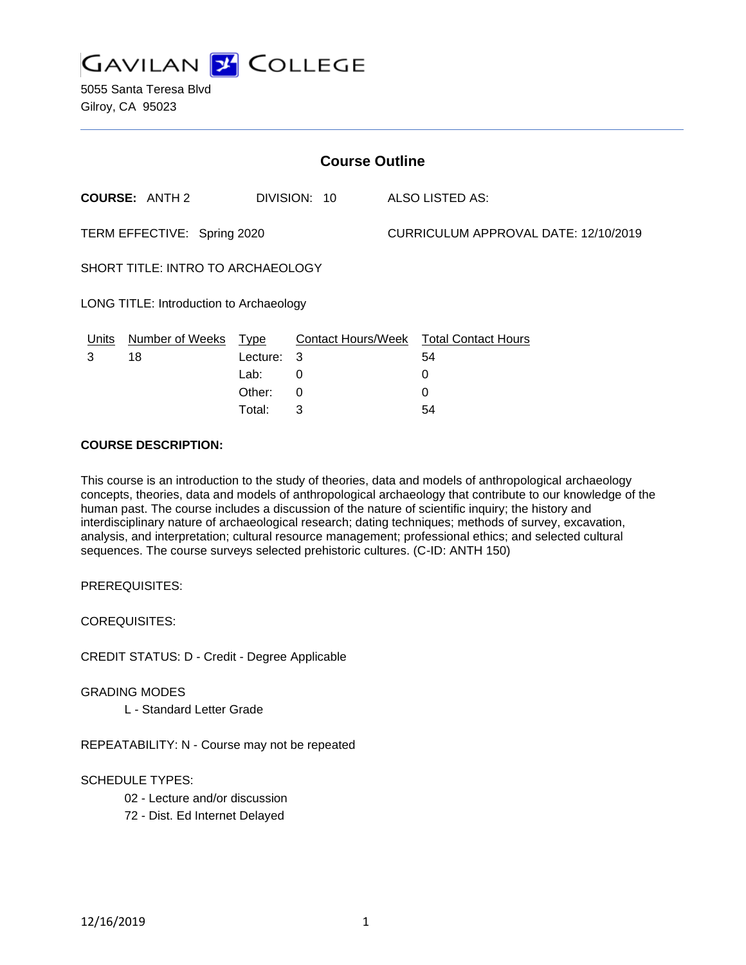

| <b>Course Outline</b>                    |                       |             |                           |  |                                      |  |
|------------------------------------------|-----------------------|-------------|---------------------------|--|--------------------------------------|--|
|                                          | <b>COURSE: ANTH 2</b> |             | DIVISION: 10              |  | ALSO LISTED AS:                      |  |
| TERM EFFECTIVE: Spring 2020              |                       |             |                           |  | CURRICULUM APPROVAL DATE: 12/10/2019 |  |
| <b>SHORT TITLE: INTRO TO ARCHAEOLOGY</b> |                       |             |                           |  |                                      |  |
| LONG TITLE: Introduction to Archaeology  |                       |             |                           |  |                                      |  |
| Units                                    | Number of Weeks       | <u>Type</u> | <b>Contact Hours/Week</b> |  | <b>Total Contact Hours</b>           |  |
| 3                                        | 18                    | Lecture:    | -3                        |  | 54                                   |  |
|                                          |                       | Lab:        | 0                         |  | 0                                    |  |
|                                          |                       | Other:      | 0                         |  | 0                                    |  |

Total: 3 54

### **COURSE DESCRIPTION:**

This course is an introduction to the study of theories, data and models of anthropological archaeology concepts, theories, data and models of anthropological archaeology that contribute to our knowledge of the human past. The course includes a discussion of the nature of scientific inquiry; the history and interdisciplinary nature of archaeological research; dating techniques; methods of survey, excavation, analysis, and interpretation; cultural resource management; professional ethics; and selected cultural sequences. The course surveys selected prehistoric cultures. (C-ID: ANTH 150)

PREREQUISITES:

COREQUISITES:

CREDIT STATUS: D - Credit - Degree Applicable

#### GRADING MODES

L - Standard Letter Grade

REPEATABILITY: N - Course may not be repeated

### SCHEDULE TYPES:

02 - Lecture and/or discussion

72 - Dist. Ed Internet Delayed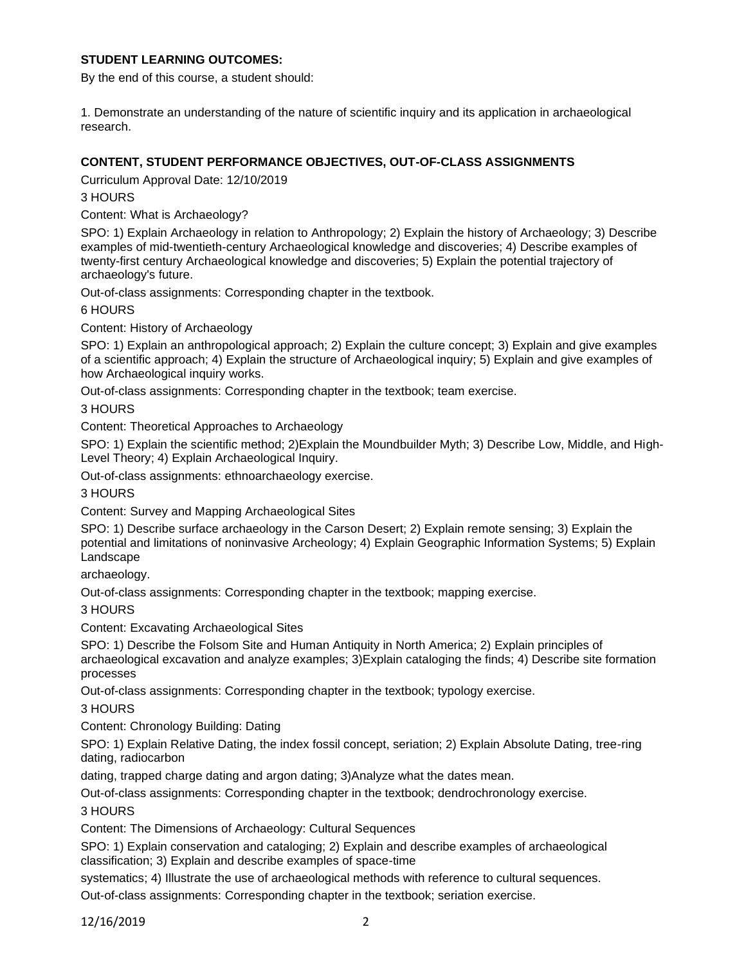## **STUDENT LEARNING OUTCOMES:**

By the end of this course, a student should:

1. Demonstrate an understanding of the nature of scientific inquiry and its application in archaeological research.

## **CONTENT, STUDENT PERFORMANCE OBJECTIVES, OUT-OF-CLASS ASSIGNMENTS**

Curriculum Approval Date: 12/10/2019

## 3 HOURS

Content: What is Archaeology?

SPO: 1) Explain Archaeology in relation to Anthropology; 2) Explain the history of Archaeology; 3) Describe examples of mid-twentieth-century Archaeological knowledge and discoveries; 4) Describe examples of twenty-first century Archaeological knowledge and discoveries; 5) Explain the potential trajectory of archaeology's future.

Out-of-class assignments: Corresponding chapter in the textbook.

### 6 HOURS

Content: History of Archaeology

SPO: 1) Explain an anthropological approach; 2) Explain the culture concept; 3) Explain and give examples of a scientific approach; 4) Explain the structure of Archaeological inquiry; 5) Explain and give examples of how Archaeological inquiry works.

Out-of-class assignments: Corresponding chapter in the textbook; team exercise.

3 HOURS

Content: Theoretical Approaches to Archaeology

SPO: 1) Explain the scientific method; 2)Explain the Moundbuilder Myth; 3) Describe Low, Middle, and High-Level Theory; 4) Explain Archaeological Inquiry.

Out-of-class assignments: ethnoarchaeology exercise.

3 HOURS

Content: Survey and Mapping Archaeological Sites

SPO: 1) Describe surface archaeology in the Carson Desert; 2) Explain remote sensing; 3) Explain the potential and limitations of noninvasive Archeology; 4) Explain Geographic Information Systems; 5) Explain Landscape

archaeology.

Out-of-class assignments: Corresponding chapter in the textbook; mapping exercise.

3 HOURS

Content: Excavating Archaeological Sites

SPO: 1) Describe the Folsom Site and Human Antiquity in North America; 2) Explain principles of archaeological excavation and analyze examples; 3)Explain cataloging the finds; 4) Describe site formation processes

Out-of-class assignments: Corresponding chapter in the textbook; typology exercise.

3 HOURS

Content: Chronology Building: Dating

SPO: 1) Explain Relative Dating, the index fossil concept, seriation; 2) Explain Absolute Dating, tree-ring dating, radiocarbon

dating, trapped charge dating and argon dating; 3)Analyze what the dates mean.

Out-of-class assignments: Corresponding chapter in the textbook; dendrochronology exercise.

3 HOURS

Content: The Dimensions of Archaeology: Cultural Sequences

SPO: 1) Explain conservation and cataloging; 2) Explain and describe examples of archaeological classification; 3) Explain and describe examples of space-time

systematics; 4) Illustrate the use of archaeological methods with reference to cultural sequences.

Out-of-class assignments: Corresponding chapter in the textbook; seriation exercise.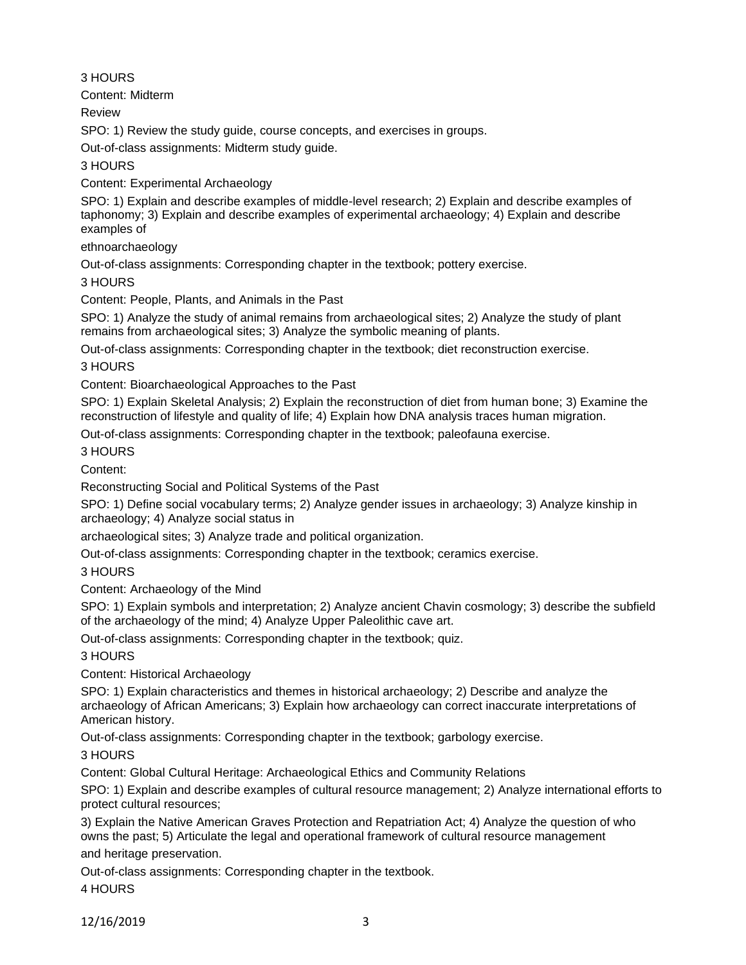## 3 HOURS

Content: Midterm

Review

SPO: 1) Review the study guide, course concepts, and exercises in groups.

Out-of-class assignments: Midterm study guide.

3 HOURS

Content: Experimental Archaeology

SPO: 1) Explain and describe examples of middle-level research; 2) Explain and describe examples of taphonomy; 3) Explain and describe examples of experimental archaeology; 4) Explain and describe examples of

ethnoarchaeology

Out-of-class assignments: Corresponding chapter in the textbook; pottery exercise.

3 HOURS

Content: People, Plants, and Animals in the Past

SPO: 1) Analyze the study of animal remains from archaeological sites; 2) Analyze the study of plant remains from archaeological sites; 3) Analyze the symbolic meaning of plants.

Out-of-class assignments: Corresponding chapter in the textbook; diet reconstruction exercise.

3 HOURS

Content: Bioarchaeological Approaches to the Past

SPO: 1) Explain Skeletal Analysis; 2) Explain the reconstruction of diet from human bone; 3) Examine the reconstruction of lifestyle and quality of life; 4) Explain how DNA analysis traces human migration.

Out-of-class assignments: Corresponding chapter in the textbook; paleofauna exercise.

3 HOURS

Content:

Reconstructing Social and Political Systems of the Past

SPO: 1) Define social vocabulary terms; 2) Analyze gender issues in archaeology; 3) Analyze kinship in archaeology; 4) Analyze social status in

archaeological sites; 3) Analyze trade and political organization.

Out-of-class assignments: Corresponding chapter in the textbook; ceramics exercise.

3 HOURS

Content: Archaeology of the Mind

SPO: 1) Explain symbols and interpretation; 2) Analyze ancient Chavin cosmology; 3) describe the subfield of the archaeology of the mind; 4) Analyze Upper Paleolithic cave art.

Out-of-class assignments: Corresponding chapter in the textbook; quiz.

# 3 HOURS

Content: Historical Archaeology

SPO: 1) Explain characteristics and themes in historical archaeology; 2) Describe and analyze the archaeology of African Americans; 3) Explain how archaeology can correct inaccurate interpretations of American history.

Out-of-class assignments: Corresponding chapter in the textbook; garbology exercise.

3 HOURS

Content: Global Cultural Heritage: Archaeological Ethics and Community Relations

SPO: 1) Explain and describe examples of cultural resource management; 2) Analyze international efforts to protect cultural resources;

3) Explain the Native American Graves Protection and Repatriation Act; 4) Analyze the question of who owns the past; 5) Articulate the legal and operational framework of cultural resource management

and heritage preservation.

Out-of-class assignments: Corresponding chapter in the textbook. 4 HOURS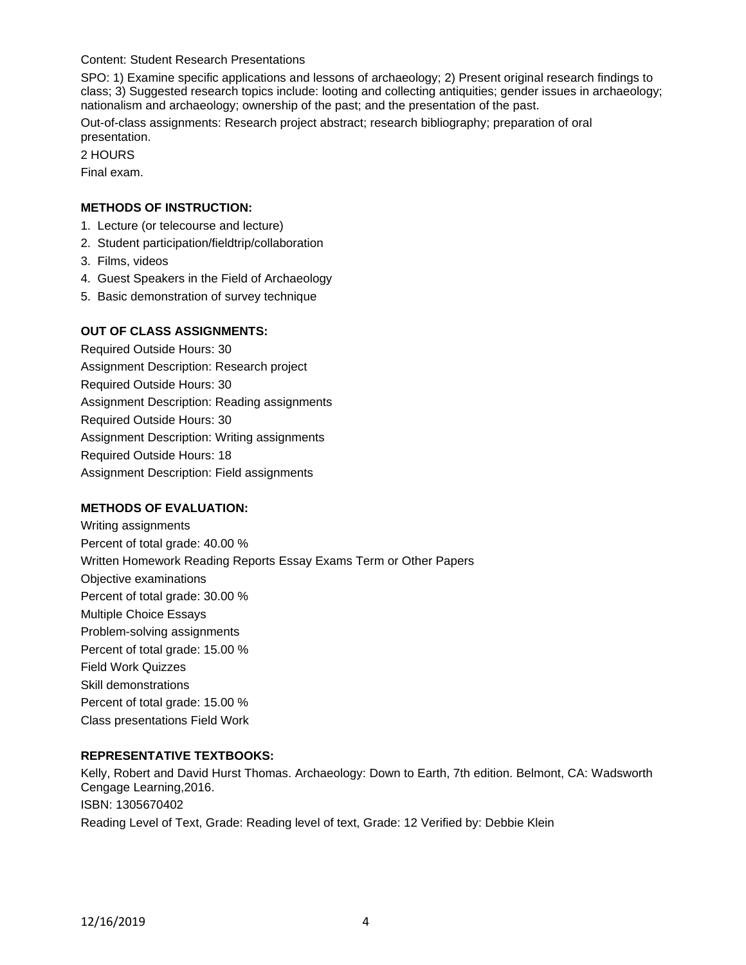### Content: Student Research Presentations

SPO: 1) Examine specific applications and lessons of archaeology; 2) Present original research findings to class; 3) Suggested research topics include: looting and collecting antiquities; gender issues in archaeology; nationalism and archaeology; ownership of the past; and the presentation of the past.

Out-of-class assignments: Research project abstract; research bibliography; preparation of oral presentation.

2 HOURS

Final exam.

## **METHODS OF INSTRUCTION:**

- 1. Lecture (or telecourse and lecture)
- 2. Student participation/fieldtrip/collaboration
- 3. Films, videos
- 4. Guest Speakers in the Field of Archaeology
- 5. Basic demonstration of survey technique

## **OUT OF CLASS ASSIGNMENTS:**

Required Outside Hours: 30 Assignment Description: Research project Required Outside Hours: 30 Assignment Description: Reading assignments Required Outside Hours: 30 Assignment Description: Writing assignments Required Outside Hours: 18 Assignment Description: Field assignments

### **METHODS OF EVALUATION:**

Writing assignments Percent of total grade: 40.00 % Written Homework Reading Reports Essay Exams Term or Other Papers Objective examinations Percent of total grade: 30.00 % Multiple Choice Essays Problem-solving assignments Percent of total grade: 15.00 % Field Work Quizzes Skill demonstrations Percent of total grade: 15.00 % Class presentations Field Work

### **REPRESENTATIVE TEXTBOOKS:**

Kelly, Robert and David Hurst Thomas. Archaeology: Down to Earth, 7th edition. Belmont, CA: Wadsworth Cengage Learning,2016. ISBN: 1305670402 Reading Level of Text, Grade: Reading level of text, Grade: 12 Verified by: Debbie Klein